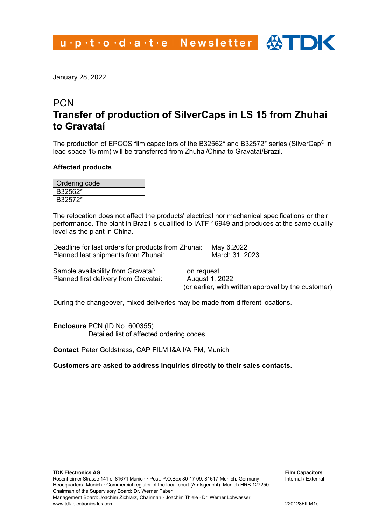January 28, 2022

# **PCN Transfer of production of SilverCaps in LS 15 from Zhuhai to Gravataí**

The production of EPCOS film capacitors of the B32562\* and B32572\* series (SilverCap® in lead space 15 mm) will be transferred from Zhuhai/China to Gravataí/Brazil.

#### **Affected products**

| Ordering code |
|---------------|
| B32562*       |
| B32572*       |

The relocation does not affect the products' electrical nor mechanical specifications or their performance. The plant in Brazil is qualified to IATF 16949 and produces at the same quality level as the plant in China.

Deadline for last orders for products from Zhuhai: May 6,2022 Planned last shipments from Zhuhai:

Sample availability from Gravataí: on request Planned first delivery from Gravataí: August 1, 2022

(or earlier, with written approval by the customer)

During the changeover, mixed deliveries may be made from different locations.

**Enclosure** PCN (ID No. 600355) Detailed list of affected ordering codes

**Contact** Peter Goldstrass, CAP FILM I&A I/A PM, Munich

**Customers are asked to address inquiries directly to their sales contacts.**

**Film Capacitors** Internal / External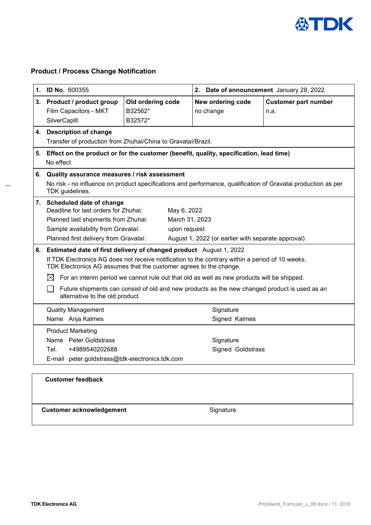

# **Product / Process Change Notification**

|    | 1. ID No. 600355                                                                                                                                                                                                                                                                                                                                                                                                                                                                               |                                         | 2. Date of announcement January 28, 2022           |                                     |  |  |
|----|------------------------------------------------------------------------------------------------------------------------------------------------------------------------------------------------------------------------------------------------------------------------------------------------------------------------------------------------------------------------------------------------------------------------------------------------------------------------------------------------|-----------------------------------------|----------------------------------------------------|-------------------------------------|--|--|
| 3. | <b>Product / product group</b><br>Film Capacitors - MKT<br><b>SilverCap®</b>                                                                                                                                                                                                                                                                                                                                                                                                                   | Old ordering code<br>B32562*<br>B32572* | New ordering code<br>no change                     | <b>Customer part number</b><br>n.a. |  |  |
|    | 4. Description of change                                                                                                                                                                                                                                                                                                                                                                                                                                                                       |                                         |                                                    |                                     |  |  |
|    | Transfer of production from Zhuhai/China to Gravataí/Brazil.                                                                                                                                                                                                                                                                                                                                                                                                                                   |                                         |                                                    |                                     |  |  |
| 5. | Effect on the product or for the customer (benefit, quality, specification, lead time)<br>No effect                                                                                                                                                                                                                                                                                                                                                                                            |                                         |                                                    |                                     |  |  |
| 6. | Quality assurance measures / risk assessment<br>No risk - no influence on product specifications and performance, qualification of Gravatai production as per<br>TDK guidelines.                                                                                                                                                                                                                                                                                                               |                                         |                                                    |                                     |  |  |
|    | 7. Scheduled date of change<br>Deadline for last orders for Zhuhai:<br>May 6, 2022<br>Planned last shipments from Zhuhai:<br>March 31, 2023<br>Sample availability from Gravataí:<br>upon request<br>Planned first delivery from Gravataí:                                                                                                                                                                                                                                                     |                                         | August 1, 2022 (or earlier with separate approval) |                                     |  |  |
|    | 8. Estimated date of first delivery of changed product August 1, 2022<br>If TDK Electronics AG does not receive notification to the contrary within a period of 10 weeks,<br>TDK Electronics AG assumes that the customer agrees to the change.<br>For an interim period we cannot rule out that old as well as new products will be shipped.<br>$\bowtie$<br>Future shipments can consist of old and new products as the new changed product is used as an<br>alternative to the old product. |                                         |                                                    |                                     |  |  |
|    | <b>Quality Management</b><br>Name Anja Kalmes                                                                                                                                                                                                                                                                                                                                                                                                                                                  |                                         | Signature<br>Signed Kalmes                         |                                     |  |  |
|    | <b>Product Marketing</b><br>Name Peter Goldstrass<br>Tel.<br>+4989540202688<br>E-mail peter.goldstrass@tdk-electronics.tdk.com                                                                                                                                                                                                                                                                                                                                                                 |                                         | Signature<br>Signed Goldstrass                     |                                     |  |  |
|    | <b>Customer feedback</b>                                                                                                                                                                                                                                                                                                                                                                                                                                                                       |                                         |                                                    |                                     |  |  |

**Customer acknowledgement Customer acknowledgement Signature**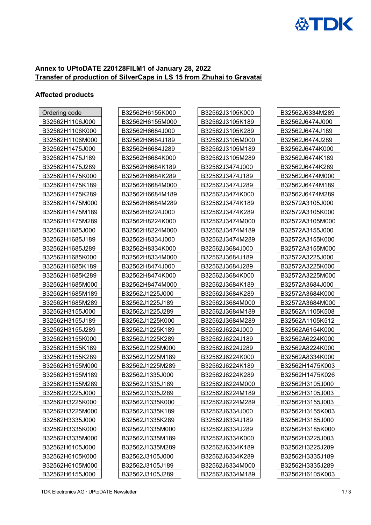

## **Annex to UPtoDATE 220128FILM1 of January 28, 2022 Transfer of production of SilverCaps in LS 15 from Zhuhai to Gravataí**

### **Affected products**

| Ordering code   | B32562H6155K000 | B32562J3105K000 | B32562J6334M289 |
|-----------------|-----------------|-----------------|-----------------|
| B32562H1106J000 | B32562H6155M000 | B32562J3105K189 | B32562J6474J000 |
| B32562H1106K000 | B32562H6684J000 | B32562J3105K289 | B32562J6474J189 |
| B32562H1106M000 | B32562H6684J189 | B32562J3105M000 | B32562J6474J289 |
| B32562H1475J000 | B32562H6684J289 | B32562J3105M189 | B32562J6474K000 |
| B32562H1475J189 | B32562H6684K000 | B32562J3105M289 | B32562J6474K189 |
| B32562H1475J289 | B32562H6684K189 | B32562J3474J000 | B32562J6474K289 |
| B32562H1475K000 | B32562H6684K289 | B32562J3474J189 | B32562J6474M000 |
| B32562H1475K189 | B32562H6684M000 | B32562J3474J289 | B32562J6474M189 |
| B32562H1475K289 | B32562H6684M189 | B32562J3474K000 | B32562J6474M289 |
| B32562H1475M000 | B32562H6684M289 | B32562J3474K189 | B32572A3105J000 |
| B32562H1475M189 | B32562H8224J000 | B32562J3474K289 | B32572A3105K000 |
| B32562H1475M289 | B32562H8224K000 | B32562J3474M000 | B32572A3105M000 |
| B32562H1685J000 | B32562H8224M000 | B32562J3474M189 | B32572A3155J000 |
| B32562H1685J189 | B32562H8334J000 | B32562J3474M289 | B32572A3155K000 |
| B32562H1685J289 | B32562H8334K000 | B32562J3684J000 | B32572A3155M000 |
| B32562H1685K000 | B32562H8334M000 | B32562J3684J189 | B32572A3225J000 |
| B32562H1685K189 | B32562H8474J000 | B32562J3684J289 | B32572A3225K000 |
| B32562H1685K289 | B32562H8474K000 | B32562J3684K000 | B32572A3225M000 |
| B32562H1685M000 | B32562H8474M000 | B32562J3684K189 | B32572A3684J000 |
| B32562H1685M189 | B32562J1225J000 | B32562J3684K289 | B32572A3684K000 |
| B32562H1685M289 | B32562J1225J189 | B32562J3684M000 | B32572A3684M000 |
| B32562H3155J000 | B32562J1225J289 | B32562J3684M189 | B32562A1105K508 |
| B32562H3155J189 | B32562J1225K000 | B32562J3684M289 | B32562A1105K512 |
| B32562H3155J289 | B32562J1225K189 | B32562J6224J000 | B32562A6154K000 |
| B32562H3155K000 | B32562J1225K289 | B32562J6224J189 | B32562A6224K000 |
| B32562H3155K189 | B32562J1225M000 | B32562J6224J289 | B32562A8224K000 |
| B32562H3155K289 | B32562J1225M189 | B32562J6224K000 | B32562A8334K000 |
| B32562H3155M000 | B32562J1225M289 | B32562J6224K189 | B32562H1475K003 |
| B32562H3155M189 | B32562J1335J000 | B32562J6224K289 | B32562H1475K026 |
| B32562H3155M289 | B32562J1335J189 | B32562J6224M000 | B32562H3105J000 |
| B32562H3225J000 | B32562J1335J289 | B32562J6224M189 | B32562H3105J003 |
| B32562H3225K000 | B32562J1335K000 | B32562J6224M289 | B32562H3155J003 |
| B32562H3225M000 | B32562J1335K189 | B32562J6334J000 | B32562H3155K003 |
| B32562H3335J000 | B32562J1335K289 | B32562J6334J189 | B32562H3185J000 |
| B32562H3335K000 | B32562J1335M000 | B32562J6334J289 | B32562H3185K000 |
| B32562H3335M000 | B32562J1335M189 | B32562J6334K000 | B32562H3225J003 |
| B32562H6105J000 | B32562J1335M289 | B32562J6334K189 | B32562H3225J289 |
| B32562H6105K000 | B32562J3105J000 | B32562J6334K289 | B32562H3335J189 |
| B32562H6105M000 | B32562J3105J189 | B32562J6334M000 | B32562H3335J289 |
| B32562H6155J000 | B32562J3105J289 | B32562J6334M189 | B32562H6105K003 |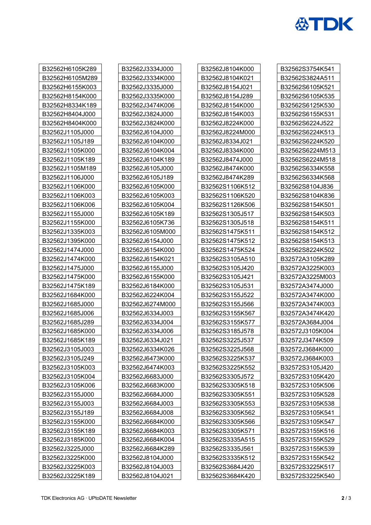

| B32562H6105K289 | B32562J3334J000 | B32562J8104K000 | B32562S3754K541 |
|-----------------|-----------------|-----------------|-----------------|
| B32562H6105M289 | B32562J3334K000 | B32562J8104K021 | B32562S3824A511 |
| B32562H6155K003 | B32562J3335J000 | B32562J8154J021 | B32562S6105K521 |
| B32562H8154K000 | B32562J3335K000 | B32562J8154J289 | B32562S6105K535 |
| B32562H8334K189 | B32562J3474K006 | B32562J8154K000 | B32562S6125K530 |
| B32562H8404J000 | B32562J3824J000 | B32562J8154K003 | B32562S6155K531 |
| B32562H8404K000 | B32562J3824K000 | B32562J8224K000 | B32562S6224J522 |
| B32562J1105J000 | B32562J6104J000 | B32562J8224M000 | B32562S6224K513 |
| B32562J1105J189 | B32562J6104K000 | B32562J8334J021 | B32562S6224K520 |
| B32562J1105K000 | B32562J6104K004 | B32562J8334K000 | B32562S6224M513 |
| B32562J1105K189 | B32562J6104K189 | B32562J8474J000 | B32562S6224M518 |
| B32562J1105M189 | B32562J6105J000 | B32562J8474K000 | B32562S6334K558 |
| B32562J1106J000 | B32562J6105J189 | B32562J8474K289 | B32562S6334K568 |
| B32562J1106K000 | B32562J6105K000 | B32562S1106K512 | B32562S8104J836 |
| B32562J1106K003 | B32562J6105K003 | B32562S1106K520 | B32562S8104K836 |
| B32562J1106K006 | B32562J6105K004 | B32562S1126K506 | B32562S8154K501 |
| B32562J1155J000 | B32562J6105K189 | B32562S1305J517 | B32562S8154K503 |
| B32562J1155K000 | B32562J6105K736 | B32562S1305J518 | B32562S8154K511 |
| B32562J1335K003 | B32562J6105M000 | B32562S1475K511 | B32562S8154K512 |
| B32562J1395K000 | B32562J6154J000 | B32562S1475K512 | B32562S8154K513 |
| B32562J1474J000 | B32562J6154K000 | B32562S1475K524 | B32562S8224K502 |
| B32562J1474K000 | B32562J6154K021 | B32562S3105A510 | B32572A3105K289 |
| B32562J1475J000 | B32562J6155J000 | B32562S3105J420 | B32572A3225K003 |
| B32562J1475K000 | B32562J6155K000 | B32562S3105J421 | B32572A3225M003 |
| B32562J1475K189 | B32562J6184K000 | B32562S3105J531 | B32572A3474J000 |
| B32562J1684K000 | B32562J6224K004 | B32562S3155J522 | B32572A3474K000 |
| B32562J1685J000 | B32562J6274M000 | B32562S3155J566 | B32572A3474K003 |
| B32562J1685J006 | B32562J6334J003 | B32562S3155K567 | B32572A3474K420 |
| B32562J1685J289 | B32562J6334J004 | B32562S3155K577 | B32572A3684J004 |
| B32562J1685K000 | B32562J6334J006 | B32562S3185J578 | B32572J3105K004 |
| B32562J1685K189 | B32562J6334J021 | B32562S3225J537 | B32572J3474K509 |
| B32562J3105J003 | B32562J6334K026 | B32562S3225J568 | B32572J3684K000 |
| B32562J3105J249 | B32562J6473K000 | B32562S3225K537 | B32572J3684K003 |
| B32562J3105K003 | B32562J6474K003 | B32562S3225K552 | B32572S3105J420 |
| B32562J3105K004 | B32562J6683J000 | B32562S3305J572 | B32572S3105K420 |
| B32562J3105K006 | B32562J6683K000 | B32562S3305K518 | B32572S3105K506 |
| B32562J3155J000 | B32562J6684J000 | B32562S3305K551 | B32572S3105K528 |
| B32562J3155J003 | B32562J6684J003 | B32562S3305K553 | B32572S3105K538 |
| B32562J3155J189 | B32562J6684J008 | B32562S3305K562 | B32572S3105K541 |
| B32562J3155K000 | B32562J6684K000 | B32562S3305K566 | B32572S3105K547 |
| B32562J3155K189 | B32562J6684K003 | B32562S3305K571 | B32572S3155K516 |
| B32562J3185K000 | B32562J6684K004 | B32562S3335A515 | B32572S3155K529 |
| B32562J3225J000 | B32562J6684K289 | B32562S3335J561 | B32572S3155K539 |
| B32562J3225K000 | B32562J8104J000 | B32562S3335K512 | B32572S3155K542 |
| B32562J3225K003 | B32562J8104J003 | B32562S3684J420 | B32572S3225K517 |
| B32562J3225K189 | B32562J8104J021 | B32562S3684K420 | B32572S3225K540 |